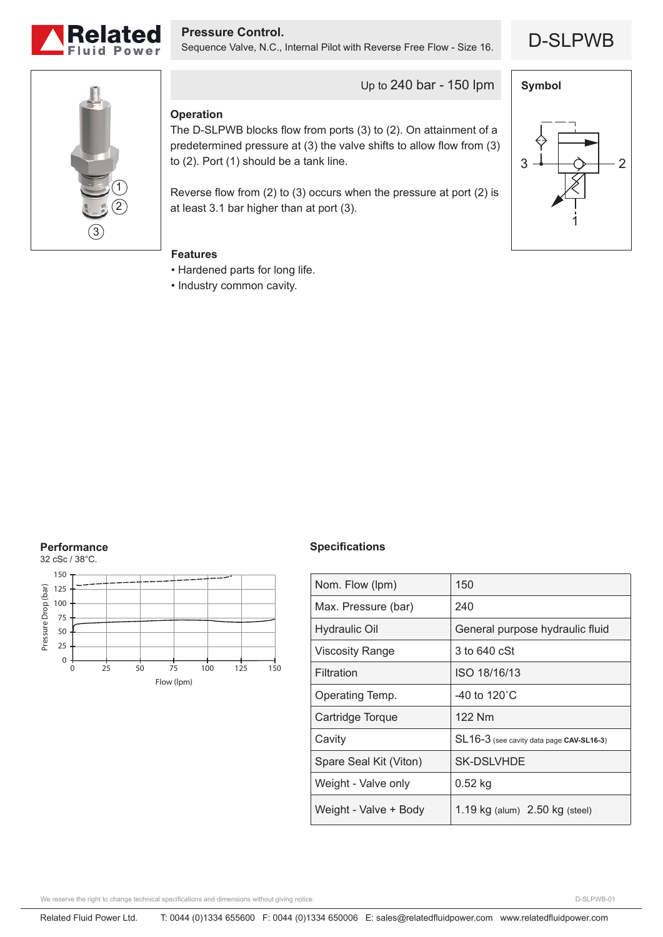

D-SLPWB **Pressure Control.** Sequence Valve, N.C., Internal Pilot with Reverse Free Flow - Size 16.





Up to 240 bar - 150 lpm

## **Operation**

The D-SLPWB blocks flow from ports (3) to (2). On attainment of a predetermined pressure at (3) the valve shifts to allow flow from (3) to (2). Port (1) should be a tank line.

Reverse flow from (2) to (3) occurs when the pressure at port (2) is at least 3.1 bar higher than at port (3).



# **Features**

- Hardened parts for long life.
- Industry common cavity.

## **Performance**



### **Specifications**

| Nom. Flow (lpm)        | 150                                      |
|------------------------|------------------------------------------|
| Max. Pressure (bar)    | 240                                      |
| <b>Hydraulic Oil</b>   | General purpose hydraulic fluid          |
| <b>Viscosity Range</b> | 3 to 640 cSt                             |
| Filtration             | ISO 18/16/13                             |
| Operating Temp.        | -40 to 120 $^{\circ}$ C                  |
| Cartridge Torque       | 122 Nm                                   |
| Cavity                 | SL16-3 (see cavity data page CAV-SL16-3) |
| Spare Seal Kit (Viton) | <b>SK-DSLVHDE</b>                        |
| Weight - Valve only    | $0.52$ kg                                |
| Weight - Valve + Body  | 1.19 $kg$ (alum) $2.50$ kg (steel)       |